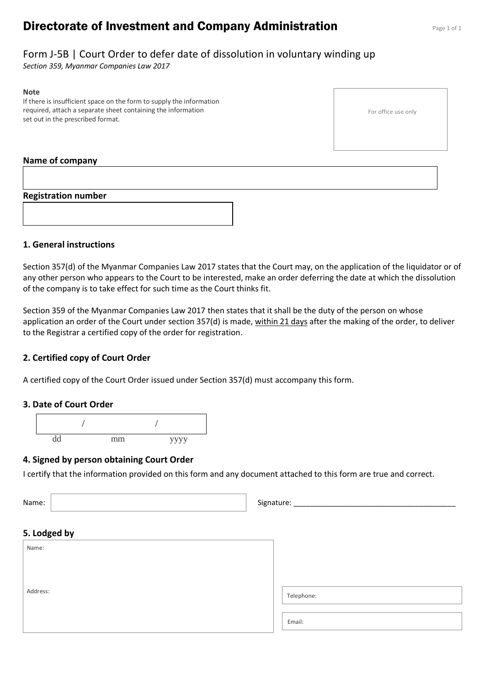# **Directorate of Investment and Company Administration** Page 1 of 1

# Form J-5B | Court Order to defer date of dissolution in voluntary winding up

*Section 359, Myanmar Companies Law 2017*

#### **Note**

If there is insufficient space on the form to supply the information required, attach a separate sheet containing the information set out in the prescribed format.

#### For office use only

#### **Name of company**

**Registration number**



### **1. General instructions**

Section 357(d) of the Myanmar Companies Law 2017 states that the Court may, on the application of the liquidator or of any other person who appears to the Court to be interested, make an order deferring the date at which the dissolution of the company is to take effect for such time as the Court thinks fit.

Section 359 of the Myanmar Companies Law 2017 then states that it shall be the duty of the person on whose application an order of the Court under section  $357(d)$  is made, within 21 days after the making of the order, to deliver to the Registrar a certified copy of the order for registration.

#### **2. Certified copy of Court Order**

A certified copy of the Court Order issued under Section 357(d) must accompany this form.

#### **3. Date of Court Order**



#### **4. Signed by person obtaining Court Order**

I certify that the information provided on this form and any document attached to this form are true and correct.

Name: Signature: \_\_\_\_\_\_\_\_\_\_\_\_\_\_\_\_\_\_\_\_\_\_\_\_\_\_\_\_\_\_\_\_\_\_\_\_\_\_\_\_

| 5. Lodged by |            |
|--------------|------------|
| Name:        |            |
|              |            |
| Address:     |            |
|              | Telephone: |
|              |            |
|              | Email:     |
|              |            |